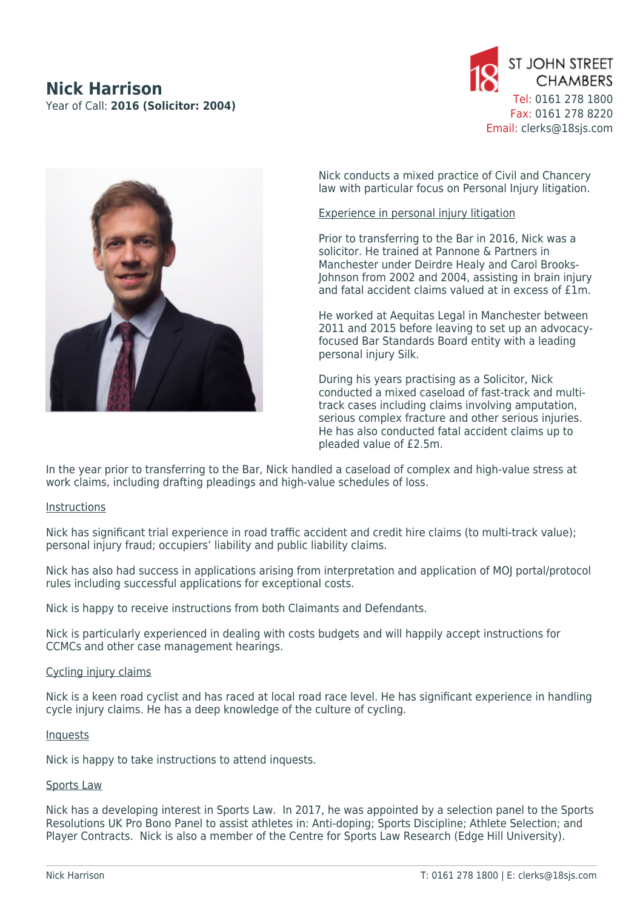# **Nick Harrison**

Year of Call: **2016 (Solicitor: 2004)**





Nick conducts a mixed practice of Civil and Chancery law with particular focus on Personal Injury litigation.

### Experience in personal injury litigation

Prior to transferring to the Bar in 2016, Nick was a solicitor. He trained at Pannone & Partners in Manchester under Deirdre Healy and Carol Brooks-Johnson from 2002 and 2004, assisting in brain injury and fatal accident claims valued at in excess of £1m.

He worked at Aequitas Legal in Manchester between 2011 and 2015 before leaving to set up an advocacyfocused Bar Standards Board entity with a leading personal injury Silk.

During his years practising as a Solicitor, Nick conducted a mixed caseload of fast-track and multitrack cases including claims involving amputation, serious complex fracture and other serious injuries. He has also conducted fatal accident claims up to pleaded value of £2.5m.

In the year prior to transferring to the Bar, Nick handled a caseload of complex and high-value stress at work claims, including drafting pleadings and high-value schedules of loss.

### Instructions

Nick has significant trial experience in road traffic accident and credit hire claims (to multi-track value); personal injury fraud; occupiers' liability and public liability claims.

Nick has also had success in applications arising from interpretation and application of MOJ portal/protocol rules including successful applications for exceptional costs.

Nick is happy to receive instructions from both Claimants and Defendants.

Nick is particularly experienced in dealing with costs budgets and will happily accept instructions for CCMCs and other case management hearings.

### Cycling injury claims

Nick is a keen road cyclist and has raced at local road race level. He has significant experience in handling cycle injury claims. He has a deep knowledge of the culture of cycling.

### Inquests

Nick is happy to take instructions to attend inquests.

## Sports Law

Nick has a developing interest in Sports Law. In 2017, he was appointed by a selection panel to the Sports Resolutions UK Pro Bono Panel to assist athletes in: Anti-doping; Sports Discipline; Athlete Selection; and Player Contracts. Nick is also a member of the Centre for Sports Law Research (Edge Hill University).